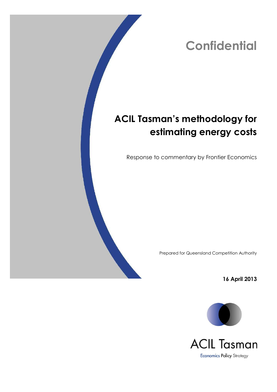# **Confidential**

# **ACIL Tasman's methodology for estimating energy costs**

Response to commentary by Frontier Economics

Prepared for Queensland Competition Authority

**16 April 2013**



**ACIL Tasman Economics Policy Strategy**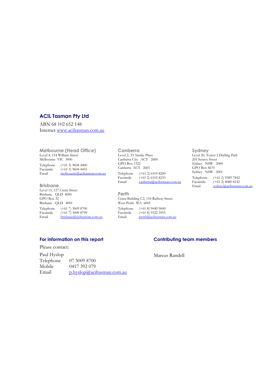### **ACIL Tasman Pty Ltd**

ABN 68 102 652 148 Internet [www.aciltasman.com.au](http://www.aciltasman.com.au/)

**Melbourne (Head Office)** Level 4, 114 William Street Melbourne VIC 3000 Telephone (+61 3) 9604 4400<br>Facsimile (+61 3) 9604 4455 Facsimile  $(+61\ 3)$  9604 4455<br>Email melbourne@aciltas [melbourne@aciltasman.com.au](mailto:melbourne@aciltasman.com.au)

**Brisbane** Level 15, 127 Creek Street Brisbane QLD 4000 GPO Box 32 Brisbane QLD 4001 Telephone (+61 7) 3009 8700<br>Facsimile (+61 7) 3009 8799 Facsimile (+61 7) 3009 8799<br>Email brisbane@aciltasm [brisbane@aciltasman.com.au](mailto:brisbane@aciltasman.com.au)

**Canberra** Level 2, 33 Ainslie Place Canberra City ACT 2600 GPO Box 1322 Canberra ACT 2601 Telephone (+61 2) 6103 8200<br>Facsimile (+61 2) 6103 8233 Facsimile  $(+61\ 2)$  6103 8233<br>Email canberra@aciltasm [canberra@aciltasman.com.au](mailto:canberra@aciltasman.com.au)

**Perth** Centa Building C2, 118 Railway Street West Perth WA 6005 Telephone (+61 8) 9449 9600<br>Facsimile (+61 8) 9322 3955 Facsimile (+61 8) 9322 3955<br>Email perth@aciltasman. [perth@aciltasman.com.au](mailto:perth@aciltasman.com.au)

**Sydney** Level 20, Tower 2 Darling Park 201 Sussex Street Sydney NSW 2000 GPO Box 4670 Sydney NSW 2001 Telephone (+61 2) 9389 7842<br>Facsimile (+61 2) 8080 8142 Facsimile  $(+61\ 2) 8080 8142$ <br>Email sydney@aciltasman [sydney@aciltasman.com.au](mailto:sydney@aciltasman.com.au)

#### **For information on this report**

Please contact:

Paul Hyslop Telephone 07 3009 8700 Mobile  $0417\,392\,079$ <br>Email physlop@aci [p.hyslop@aciltasman.com.au](mailto:p.hyslop@aciltasman.com.au)

#### **Contributing team members**

Marcus Randell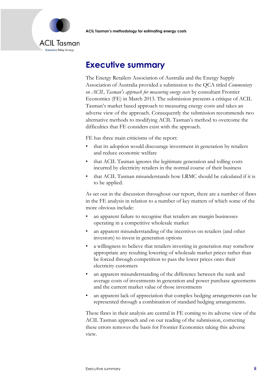

# <span id="page-2-0"></span>**Executive summary**

The Energy Retailers Association of Australia and the Energy Supply Association of Australia provided a submission to the QCA titled *Commentary on ACIL Tasman's approach for measuring energy costs* by consultant Frontier Economics (FE) in March 2013. The submission presents a critique of ACIL Tasman's market based approach to measuring energy costs and takes an adverse view of the approach. Consequently the submission recommends two alternative methods to modifying ACIL Tasman's method to overcome the difficulties that FE considers exist with the approach.

FE has three main criticisms of the report:

- that its adoption would discourage investment in generation by retailers and reduce economic welfare
- that ACIL Tasman ignores the legitimate generation and tolling costs incurred by electricity retailers in the normal course of their business
- that ACIL Tasman misunderstands how LRMC should be calculated if it is to be applied.

As set out in the discussion throughout our report, there are a number of flaws in the FE analysis in relation to a number of key matters of which some of the more obvious include:

- an apparent failure to recognise that retailers are margin businesses operating in a competitive wholesale market
- an apparent misunderstanding of the incentives on retailers (and other investors) to invest in generation options
- a willingness to believe that retailers investing in generation may somehow appropriate any resulting lowering of wholesale market prices rather than be forced through competition to pass the lower prices onto their electricity customers
- an apparent misunderstanding of the difference between the sunk and average costs of investments in generation and power purchase agreements and the current market value of those investments
- an apparent lack of appreciation that complex hedging arrangements can be represented through a combination of standard hedging arrangements.

These flaws in their analysis are central in FE coming to its adverse view of the ACIL Tasman approach and on our reading of the submission, correcting these errors removes the basis for Frontier Economics taking this adverse view.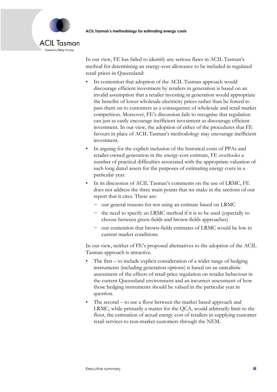

In our view, FE has failed to identify any serious flaws in ACIL Tasman's method for determining an energy-cost allowance to be included in regulated retail prices in Queensland:

- Its contention that adoption of the ACIL Tasman approach would discourage efficient investment by retailers in generation is based on an invalid assumption that a retailer investing in generation would appropriate the benefits of lower wholesale electricity prices rather than be forced to pass them on to customers as a consequence of wholesale and retail market competition. Moreover, FE's discussion fails to recognise that regulation can just as easily encourage inefficient investment as discourage efficient investment. In our view, the adoption of either of the procedures that FE favours in place of ACIL Tasman's methodology may encourage inefficient investment.
- In arguing for the explicit inclusion of the historical costs of PPAs and retailer-owned generation in the energy-cost estimate, FE overlooks a number of practical difficulties associated with the appropriate valuation of such long dated assets for the purposes of estimating energy costs in a particular year.
- In its discussion of ACIL Tasman's comments on the use of LRMC, FE does not address the three main points that we make in the sections of our report that it cites. These are:
	- − our general reasons for not using an estimate based on LRMC
	- the need to specify an LRMC method if it is to be used (especially to choose between green-fields and brown-fields approaches)
	- − our contention that brown-fields estimates of LRMC would be low in current market conditions.

In our view, neither of FE's proposed alternatives to the adoption of the ACIL Tasman approach is attractive.

- The first to include explicit consideration of a wider range of hedging instruments (including generation options) is based on an unrealistic assessment of the effects of retail-price regulation on retailer behaviour in the current Queensland environment and an incorrect assessment of how those hedging instruments should be valued in the particular year in question.
- The second to use a floor between the market based approach and LRMC, while primarily a matter for the QCA, would arbitrarily limit to the floor, the estimation of actual energy cost of retailers in supplying customer retail services to non-market customers through the NEM.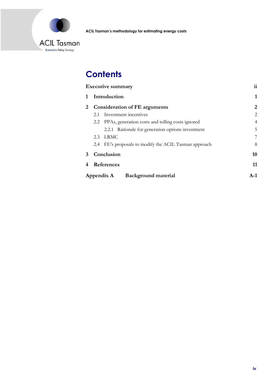

# **Contents**

| <b>Executive summary</b>                 |                                                          | $\mathbf{ii}$  |
|------------------------------------------|----------------------------------------------------------|----------------|
|                                          | Introduction                                             | 1              |
| 2                                        | <b>Consideration of FE arguments</b>                     | 2              |
|                                          | Investment incentives<br>2.1                             | $\overline{2}$ |
|                                          | 2.2 PPAs, generation costs and tolling costs ignored     | $\overline{4}$ |
|                                          | 2.2.1 Rationale for generation options investment        | 5              |
|                                          | <b>LRMC</b><br>2.3                                       | 7              |
|                                          | FE's proposals to modify the ACIL Tasman approach<br>2.4 | 8              |
| 3                                        | Conclusion                                               | 10             |
|                                          | References                                               | 11             |
| <b>Background material</b><br>Appendix A |                                                          | $A-1$          |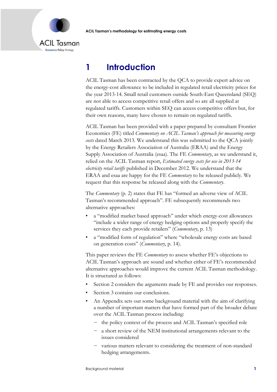

# <span id="page-5-0"></span>**1 Introduction**

ACIL Tasman has been contracted by the QCA to provide expert advice on the energy-cost allowance to be included in regulated retail electricity prices for the year 2013-14. Small retail customers outside South-East Queensland (SEQ) are not able to access competitive retail offers and so are all supplied at regulated tariffs. Customers within SEQ can access competitive offers but, for their own reasons, many have chosen to remain on regulated tariffs.

ACIL Tasman has been provided with a paper prepared by consultant Frontier Economics (FE) titled *Commentary on ACIL Tasman's approach for measuring energy costs* dated March 2013. We understand this was submitted to the QCA jointly by the Energy Retailers Association of Australia (ERAA) and the Energy Supply Association of Australia (esaa). The FE *Commentary*, as we understand it, relied on the ACIL Tasman report, *Estimated energy costs for use in 2013-14 electricity retail tariffs* published in December 2012. We understand that the ERAA and esaa are happy for the FE *Commentary* to be released publicly. We request that this response be released along with the *Commentary*.

The *Commentary* (p. 2) states that FE has "formed an adverse view of ACIL Tasman's recommended approach". FE subsequently recommends two alternative approaches:

- a "modified market based approach" under which energy-cost allowances "include a wider range of energy hedging options and properly specify the services they each provide retailers" (*Commentary*, p. 13)
- a "modified form of regulation" where "wholesale energy costs are based on generation costs" (*Commentary*, p. 14).

This paper reviews the FE *Commentary* to assess whether FE's objections to ACIL Tasman's approach are sound and whether either of FE's recommended alternative approaches would improve the current ACIL Tasman methodology. It is structured as follows:

- Section [2](#page-6-0) considers the arguments made by FE and provides our responses.
- Section 3 contains our conclusions.
- An Appendix sets out some background material with the aim of clarifying a number of important matters that have formed part of the broader debate over the ACIL Tasman process including:
	- the policy context of the process and ACIL Tasman's specified role
	- − a short review of the NEM institutional arrangements relevant to the issues considered
	- − various matters relevant to considering the treatment of non-standard hedging arrangements.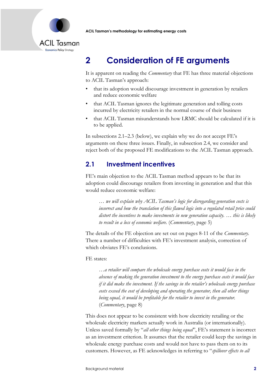

# <span id="page-6-0"></span>**2 Consideration of FE arguments**

It is apparent on reading the *Commentary* that FE has three material objections to ACIL Tasman's approach:

- that its adoption would discourage investment in generation by retailers and reduce economic welfare
- that ACIL Tasman ignores the legitimate generation and tolling costs incurred by electricity retailers in the normal course of their business
- that ACIL Tasman misunderstands how LRMC should be calculated if it is to be applied.

In subsections [2.1](#page-6-1)–[2.3](#page-11-0) (below), we explain why we do not accept FE's arguments on these three issues. Finally, in subsection [2.4,](#page-12-0) we consider and reject both of the proposed FE modifications to the ACIL Tasman approach.

### <span id="page-6-1"></span>**2.1 Investment incentives**

FE's main objection to the ACIL Tasman method appears to be that its adoption could discourage retailers from investing in generation and that this would reduce economic welfare:

*… we will explain why ACIL Tasman's logic for disregarding generation costs is*  incorrect and how the translation of this flawed logic into a regulated retail price could *distort the incentives to make investments in new generation capacity. … this is likely to result in a loss of economic welfare.* (*Commentary*, page 5)

The details of the FE objection are set out on pages 8-11 of the *Commentary*. There a number of difficulties with FE's investment analysis, correction of which obviates FE's conclusions.

### FE states:

*…a retailer will compare the wholesale energy purchase costs it would face in the absence of making the generation investment to the energy purchase costs it would face if it did make the investment. If the savings in the retailer's wholesale energy purchase costs exceed the cost of developing and operating the generator, then all other things being equal, it would be profitable for the retailer to invest in the generator.* (*Commentary*, page 8)

This does not appear to be consistent with how electricity retailing or the wholesale electricity markets actually work in Australia (or internationally). Unless saved formally by "*all other things being equal*", FE's statement is incorrect as an investment criterion. It assumes that the retailer could keep the savings in wholesale energy purchase costs and would not have to pass them on to its customers. However, as FE acknowledges in referring to "*spillover effects to all*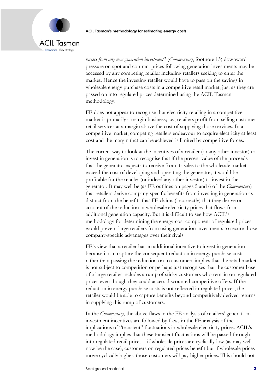

*buyers from any new generation investment*" (*Commentary*, footnote 13) downward pressure on spot and contract prices following generation investments may be accessed by any competing retailer including retailers seeking to enter the market. Hence the investing retailer would have to pass on the savings in wholesale energy purchase costs in a competitive retail market, just as they are passed on into regulated prices determined using the ACIL Tasman methodology.

FE does not appear to recognise that electricity retailing in a competitive market is primarily a margin business; i.e., retailers profit from selling customer retail services at a margin above the cost of supplying those services. In a competitive market, competing retailers endeavour to acquire electricity at least cost and the margin that can be achieved is limited by competitive forces.

The correct way to look at the incentives of a retailer (or any other investor) to invest in generation is to recognise that if the present value of the proceeds that the generator expects to receive from its sales to the wholesale market exceed the cost of developing and operating the generator, it would be profitable for the retailer (or indeed any other investor) to invest in the generator. It may well be (as FE outlines on pages 5 and 6 of the *Commentary*) that retailers derive company-specific benefits from investing in generation as distinct from the benefits that FE claims (incorrectly) that they derive on account of the reduction in wholesale electricity prices that flows from additional generation capacity. But it is difficult to see how ACIL's methodology for determining the energy-cost component of regulated prices would prevent large retailers from using generation investments to secure those company-specific advantages over their rivals.

FE's view that a retailer has an additional incentive to invest in generation because it can capture the consequent reduction in energy purchase costs rather than passing the reduction on to customers implies that the retail market is not subject to competition or perhaps just recognises that the customer base of a large retailer includes a rump of sticky customers who remain on regulated prices even though they could access discounted competitive offers. If the reduction in energy purchase costs is not reflected in regulated prices, the retailer would be able to capture benefits beyond competitively derived returns in supplying this rump of customers.

In the *Commentary*, the above flaws in the FE analysis of retailers' generationinvestment incentives are followed by flaws in the FE analysis of the implications of "transient" fluctuations in wholesale electricity prices. ACIL's methodology implies that these transient fluctuations will be passed through into regulated retail prices – if wholesale prices are cyclically low (as may well now be the case), customers on regulated prices benefit but if wholesale prices move cyclically higher, those customers will pay higher prices. This should not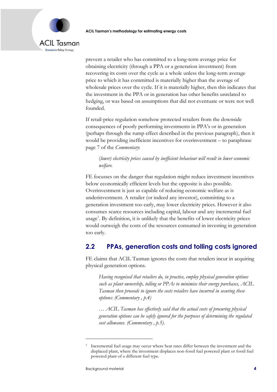

prevent a retailer who has committed to a long-term average price for obtaining electricity (through a PPA or a generation investment) from recovering its costs over the cycle as a whole unless the long-term average price to which it has committed is materially higher than the average of wholesale prices over the cycle. If it is materially higher, then this indicates that the investment in the PPA or in generation has other benefits unrelated to hedging, or was based on assumptions that did not eventuate or were not well founded.

If retail-price regulation somehow protected retailers from the downside consequences of poorly performing investments in PPA's or in generation (perhaps through the rump effect described in the previous paragraph), then it would be providing inefficient incentives for overinvestment – to paraphrase page 7 of the *Commentary*:

### (*lower) electricity prices caused by inefficient behaviour will result in lower economic welfare.*

FE focusses on the danger that regulation might reduce investment incentives below economically efficient levels but the opposite is also possible. Overinvestment is just as capable of reducing economic welfare as is underinvestment. A retailer (or indeed any investor), committing to a generation investment too early, may lower electricity prices. However it also consumes scarce resources including capital, labour and any incremental fuel usage<sup>1</sup>. By definition, it is unlikely that the benefits of lower electricity prices would outweigh the costs of the resources consumed in investing in generation too early.

# <span id="page-8-0"></span>**2.2 PPAs, generation costs and tolling costs ignored**

FE claims that ACIL Tasman ignores the costs that retailers incur in acquiring physical generation options.

*Having recognised that retailers do, in practice, employ physical generation options such as plant ownership, tolling or PPAs to minimise their energy purchases, ACIL Tasman then proceeds to ignore the costs retailers have incurred in securing these options: (Commentary , p.4)*

*… ACIL Tasman has effectively said that the actual costs of procuring physical generation options can be safely ignored for the purposes of determining the regulated cost allowance. (Commentary , p.5).*

<sup>1</sup> Incremental fuel usage may occur where heat rates differ between the investment and the displaced plant, where the investment displaces non-fossil fuel powered plant or fossil fuel powered plant of a different fuel type.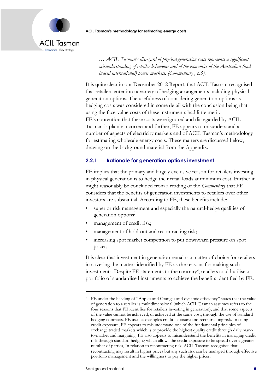



*… ACIL Tasman's disregard of physical generation costs represents a significant misunderstanding of retailer behaviour and of the economics of the Australian (and indeed international) power markets. (Commentary , p.5).*

It is quite clear in our December 2012 Report, that ACIL Tasman recognised that retailers enter into a variety of hedging arrangements including physical generation options. The usefulness of considering generation options as hedging costs was considered in some detail with the conclusion being that using the face-value costs of these instruments had little merit. FE's contention that these costs were ignored and disregarded by ACIL Tasman is plainly incorrect and further, FE appears to misunderstand a number of aspects of electricity markets and of ACIL Tasman's methodology for estimating wholesale energy costs. These matters are discussed below, drawing on the background material from the Appendix.

### <span id="page-9-0"></span>**2.2.1 Rationale for generation options investment**

FE implies that the primary and largely exclusive reason for retailers investing in physical generation is to hedge their retail loads at minimum cost. Further it might reasonably be concluded from a reading of the *Commentary* that FE considers that the benefits of generation investments to retailers over other investors are substantial. According to FE, these benefits include:

- superior risk management and especially the natural-hedge qualities of generation options;
- management of credit risk;
- management of hold-out and recontracting risk;
- increasing spot market competition to put downward pressure on spot prices;

It is clear that investment in generation remains a matter of choice for retailers in covering the matters identified by FE as the reasons for making such investments. Despite FE statements to the contrary<sup>2</sup>, retailers could utilise a portfolio of standardised instruments to achieve the benefits identified by FE:

<sup>2</sup> FE under the heading of "Apples and Oranges and dynamic efficiency" states that the value of generation to a retailer is multidimensional (which ACIL Tasman assumes refers to the four reasons that FE identifies for retailers investing in generation), and that some aspects of the value cannot be achieved, or achieved at the same cost, through the use of standard hedging contracts. FE uses as examples credit exposure and recontracting risk. In citing credit exposure, FE appears to misunderstand one of the fundamental principles of exchange traded markets which is to provide the highest quality credit through daily markto-market and margining. FE also appears to misunderstand the benefits in managing credit risk through standard hedging which allows the credit exposure to be spread over a greater number of parties, In relation to recontracting risk, ACIL Tasman recognises that recontracting may result in higher prices but any such risk can be managed through effective portfolio management and the willingness to pay the higher prices.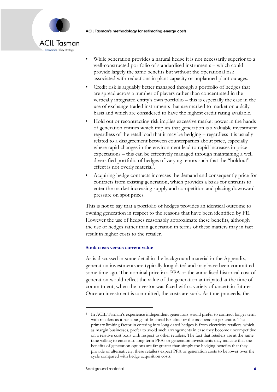

- While generation provides a natural hedge it is not necessarily superior to a well-constructed portfolio of standardised instruments – which could provide largely the same benefits but without the operational risk associated with reductions in plant capacity or unplanned plant outages.
- Credit risk is arguably better managed through a portfolio of hedges that are spread across a number of players rather than concentrated in the vertically integrated entity's own portfolio – this is especially the case in the use of exchange traded instruments that are marked to market on a daily basis and which are considered to have the highest credit rating available.
- Hold out or recontracting risk implies excessive market power in the hands of generation entities which implies that generation is a valuable investment regardless of the retail load that it may be hedging – regardless it is usually related to a disagreement between counterparties about price, especially where rapid changes in the environment lead to rapid increases in price expectations – this can be effectively managed through maintaining a well diversified portfolio of hedges of varying tenors such that the "holdout" effect is not overly material<sup>3</sup>.
- Acquiring hedge contracts increases the demand and consequently price for contracts from existing generation, which provides a basis for entrants to enter the market increasing supply and competition and placing downward pressure on spot prices.

This is not to say that a portfolio of hedges provides an identical outcome to owning generation in respect to the reasons that have been identified by FE. However the use of hedges reasonably approximate these benefits, although the use of hedges rather than generation in terms of these matters may in fact result in higher costs to the retailer.

#### **Sunk costs versus current value**

As is discussed in some detail in the background material in the Appendix, generation investments are typically long dated and may have been committed some time ago. The nominal price in a PPA or the annualised historical cost of generation would reflect the value of the generation anticipated at the time of commitment, when the investor was faced with a variety of uncertain futures. Once an investment is committed, the costs are sunk. As time proceeds, the

<sup>3</sup> In ACIL Tasman's experience independent generators would prefer to contract longer term with retailers as it has a range of financial benefits for the independent generator. The primary limiting factor in entering into long dated hedges is from electricity retailers, which, as margin businesses, prefer to avoid such arrangements in case they become uncompetitive on a relative cost basis with respect to other retailers. The fact that retailers are at the same time willing to enter into long term PPAs or generation investments may indicate that the benefits of generation options are far greater than simply the hedging benefits that they provide or alternatively, these retailers expect PPA or generation costs to be lower over the cycle compared with hedge acquisition costs.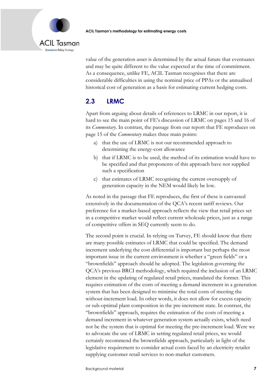

value of the generation asset is determined by the actual future that eventuates and may be quite different to the value expected at the time of commitment. As a consequence, unlike FE, ACIL Tasman recognises that there are considerable difficulties in using the nominal price of PPAs or the annualised historical cost of generation as a basis for estimating current hedging costs.

# <span id="page-11-0"></span>**2.3 LRMC**

Apart from arguing about details of references to LRMC in our report, it is hard to see the main point of FE's discussion of LRMC on pages 15 and 16 of its *Commentary*. In contrast, the passage from our report that FE reproduces on page 15 of the *Commentary* makes three main points:

- a) that the use of LRMC is not our recommended approach to determining the energy-cost allowance
- b) that if LRMC is to be used, the method of its estimation would have to be specified and that proponents of this approach have not supplied such a specification
- c) that estimates of LRMC recognising the current oversupply of generation capacity in the NEM would likely be low.

As noted in the passage that FE reproduces, the first of these is canvassed extensively in the documentation of the QCA's recent tariff reviews. Our preference for a market-based approach reflects the view that retail prices set in a competitive market would reflect current wholesale prices, just as a range of competitive offers in SEQ currently seem to do.

The second point is crucial. In relying on Turvey, FE should know that there are many possible estimates of LRMC that could be specified. The demand increment underlying the cost differential is important but perhaps the most important issue in the current environment is whether a "green fields" or a "brownfields" approach should be adopted. The legislation governing the QCA's previous BRCI methodology, which required the inclusion of an LRMC element in the updating of regulated retail prices, mandated the former. This requires estimation of the costs of meeting a demand increment in a generation system that has been designed to minimise the total costs of meeting the without-increment load. In other words, it does not allow for excess capacity or sub-optimal plant composition in the pre-increment state. In contrast, the "brownfields" approach, requires the estimation of the costs of meeting a demand increment in whatever generation system actually exists, which need not be the system that is optimal for meeting the pre-increment load. Were we to advocate the use of LRMC in setting regulated retail prices, we would certainly recommend the brownfields approach, particularly in light of the legislative requirement to consider actual costs faced by an electricity retailer supplying customer retail services to non-market customers.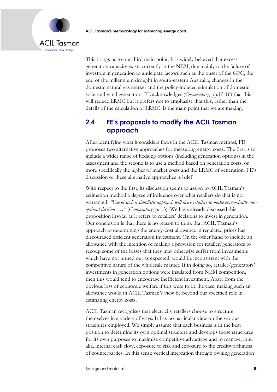

This brings us to our third main point. It is widely believed that excess generation capacity exists currently in the NEM, due mainly to the failure of investors in generation to anticipate factors such as the onset of the GFC, the end of the millennium drought in south-eastern Australia, changes in the domestic natural gas market and the policy-induced stimulation of domestic solar and wind generation. FE acknowledges (*Commentary*, pp.15-16) that this will reduce LRMC but it prefers not to emphasise that this, rather than the details of the calculation of LRMC, is the main point that we are making.

### <span id="page-12-0"></span>**2.4 FE's proposals to modify the ACIL Tasman approach**

After identifying what it considers flaws in the ACIL Tasman method, FE proposes two alternative approaches for measuring energy costs. The first is to include a wider range of hedging options (including generation options) in the assessment and the second is to use a method based on generation costs, or more specifically the higher of market costs and the LRMC of generation. FE's discussion of these alternative approaches is brief.

With respect to the first, its discussion seems to assign to ACIL Tasman's estimation method a degree of influence over what retailers do that is not warranted: *"Use of such a simplistic approach will drive retailers to make economically suboptimal decisions …"* (*Commentary*, p. 13). We have already discussed this proposition insofar as it refers to retailers' decisions to invest in generation. Our conclusion is that there is no reason to think that ACIL Tasman's approach to determining the energy-cost allowance in regulated prices has discouraged efficient generation investment. On the other hand to include an allowance with the intention of making a provision for retailer/generators to recoup some of the losses that they may otherwise suffer from investments which have not turned out as expected, would be inconsistent with the competitive nature of the wholesale market. If in doing so, retailer/generators' investments in generation options were insulated from NEM competition, then this would tend to encourage inefficient investment. Apart from the obvious loss of economic welfare if this were to be the case, making such an allowance would in ACIL Tasman's view be beyond our specified role in estimating energy costs.

ACIL Tasman recognises that electricity retailers choose to structure themselves in a variety of ways. It has no particular view on the various structures employed. We simply assume that each business is in the best position to determine its own optimal structure and develops those structures for its own purposes to maximise competitive advantage and to manage, inter alia, internal cash flow, exposure to risk and exposure to the creditworthiness of counterparties. In this sense vertical integration through owning generation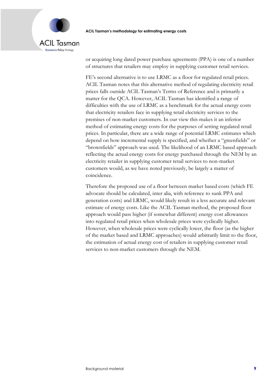

or acquiring long dated power purchase agreements (PPA) is one of a number of structures that retailers may employ in supplying customer retail services.

FE's second alternative is to use LRMC as a floor for regulated retail prices. ACIL Tasman notes that this alternative method of regulating electricity retail prices falls outside ACIL Tasman's Terms of Reference and is primarily a matter for the QCA. However, ACIL Tasman has identified a range of difficulties with the use of LRMC as a benchmark for the actual energy costs that electricity retailers face in supplying retail electricity services to the premises of non-market customers. In our view this makes it an inferior method of estimating energy costs for the purposes of setting regulated retail prices. In particular, there are a wide range of potential LRMC estimates which depend on how incremental supply is specified, and whether a "greenfields" or "brownfields" approach was used. The likelihood of an LRMC based approach reflecting the actual energy costs for energy purchased through the NEM by an electricity retailer in supplying customer retail services to non-market customers would, as we have noted previously, be largely a matter of coincidence.

Therefore the proposed use of a floor between market based costs (which FE advocate should be calculated, inter alia, with reference to sunk PPA and generation costs) and LRMC, would likely result in a less accurate and relevant estimate of energy costs. Like the ACIL Tasman method, the proposed floor approach would pass higher (if somewhat different) energy cost allowances into regulated retail prices when wholesale prices were cyclically higher. However, when wholesale prices were cyclically lower, the floor (as the higher of the market based and LRMC approaches) would arbitrarily limit to the floor, the estimation of actual energy cost of retailers in supplying customer retail services to non-market customers through the NEM.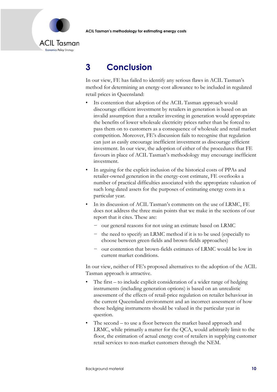

# <span id="page-14-0"></span>**3 Conclusion**

In our view, FE has failed to identify any serious flaws in ACIL Tasman's method for determining an energy-cost allowance to be included in regulated retail prices in Queensland:

- Its contention that adoption of the ACIL Tasman approach would discourage efficient investment by retailers in generation is based on an invalid assumption that a retailer investing in generation would appropriate the benefits of lower wholesale electricity prices rather than be forced to pass them on to customers as a consequence of wholesale and retail market competition. Moreover, FE's discussion fails to recognise that regulation can just as easily encourage inefficient investment as discourage efficient investment. In our view, the adoption of either of the procedures that FE favours in place of ACIL Tasman's methodology may encourage inefficient investment.
- In arguing for the explicit inclusion of the historical costs of PPAs and retailer-owned generation in the energy-cost estimate, FE overlooks a number of practical difficulties associated with the appropriate valuation of such long dated assets for the purposes of estimating energy costs in a particular year.
- In its discussion of ACIL Tasman's comments on the use of LRMC, FE does not address the three main points that we make in the sections of our report that it cites. These are:
	- − our general reasons for not using an estimate based on LRMC
	- the need to specify an LRMC method if it is to be used (especially to choose between green-fields and brown-fields approaches)
	- − our contention that brown-fields estimates of LRMC would be low in current market conditions.

In our view, neither of FE's proposed alternatives to the adoption of the ACIL Tasman approach is attractive.

- The first  $-$  to include explicit consideration of a wider range of hedging instruments (including generation options) is based on an unrealistic assessment of the effects of retail-price regulation on retailer behaviour in the current Queensland environment and an incorrect assessment of how those hedging instruments should be valued in the particular year in question.
- The second to use a floor between the market based approach and LRMC, while primarily a matter for the QCA, would arbitrarily limit to the floor, the estimation of actual energy cost of retailers in supplying customer retail services to non-market customers through the NEM.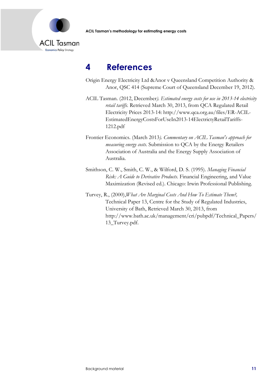

# <span id="page-15-0"></span>**4 References**

- Origin Energy Electricity Ltd &Anor v Queensland Competition Authority & Anor, QSC 414 (Supreme Court of Queensland December 19, 2012).
- ACIL Tasman. (2012, December*). Estimated energy costs for use in 2013-14 electricity retail tariffs.* Retrieved March 30, 2013, from QCA Regulated Retail Electricity Prices 2013-14: http://www.qca.org.au/files/ER-ACIL-EstimatedEnergyCostsForUseIn2013-14ElectrictyRetailTariffs-1212.pdf
- Frontier Economics. (March 2013*). Commentary on ACIL Tasman's approach for measuring energy costs*. Submission to QCA by the Energy Retailers Association of Australia and the Energy Supply Association of Australia.
- Smithson, C. W., Smith, C. W., & Wilford, D. S. (1995). *Managing Financial Risk: A Guide to Derivative Products*. Financial Engineering, and Value Maximization (Revised ed.). Chicago: Irwin Professional Publishing.
- Turvey, R., (2000),*What Are Marginal Costs And How To Estimate Them?,* Technical Paper 13, Centre for the Study of Regulated Industries, University of Bath, Retrieved March 30, 2013, from http://www.bath.ac.uk/management/cri/pubpdf/Technical\_Papers/ 13\_Turvey.pdf.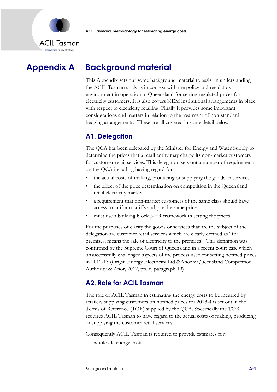

# **Appendix A Background material**

<span id="page-16-0"></span>This Appendix sets out some background material to assist in understanding the ACIL Tasman analysis in context with the policy and regulatory environment in operation in Queensland for setting regulated prices for electricity customers. It is also covers NEM institutional arrangements in place with respect to electricity retailing. Finally it provides some important considerations and matters in relation to the treatment of non-standard hedging arrangements. These are all covered in some detail below.

# **A1. Delegation**

The QCA has been delegated by the Minister for Energy and Water Supply to determine the prices that a retail entity may charge its non-market customers for customer retail services. This delegation sets out a number of requirements on the QCA including having regard for:

- the actual costs of making, producing or supplying the goods or services
- the effect of the price determination on competition in the Queensland retail electricity market
- a requirement that non-market customers of the same class should have access to uniform tariffs and pay the same price
- must use a building block  $N+R$  framework in setting the prices.

For the purposes of clarity the goods or services that are the subject of the delegation are customer retail services which are clearly defined as "for premises, means the sale of electricity to the premises". This definition was confirmed by the Supreme Court of Queensland in a recent court case which unsuccessfully challenged aspects of the process used for setting notified prices in 2012-13 (Origin Energy Electricity Ltd &Anor v Queensland Competition Authority & Anor, 2012, pp. 6, paragraph 19)

# **A2. Role for ACIL Tasman**

The role of ACIL Tasman in estimating the energy costs to be incurred by retailers supplying customers on notified prices for 2013-4 is set out in the Terms of Reference (TOR) supplied by the QCA. Specifically the TOR requires ACIL Tasman to have regard to the actual costs of making, producing or supplying the customer retail services.

Consequently ACIL Tasman is required to provide estimates for:

1. wholesale energy costs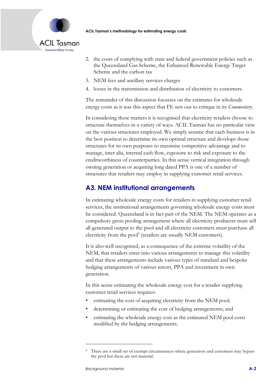

- 2. the costs of complying with state and federal government policies such as the Queensland Gas Scheme, the Enhanced Renewable Energy Target Scheme and the carbon tax
- 3. NEM fees and ancillary services charges
- 4. losses in the transmission and distribution of electricity to customers.

The remainder of this discussion focusses on the estimates for wholesale energy costs as it was this aspect that FE sets out to critique in its *Commentary*.

In considering these matters it is recognised that electricity retailers choose to structure themselves in a variety of ways. ACIL Tasman has no particular view on the various structures employed. We simply assume that each business is in the best position to determine its own optimal structure and develops those structures for its own purposes to maximise competitive advantage and to manage, inter alia, internal cash flow, exposure to risk and exposure to the creditworthiness of counterparties. In this sense vertical integration through owning generation or acquiring long dated PPA is one of a number of structures that retailers may employ in supplying customer retail services.

# **A3. NEM institutional arrangements**

In estimating wholesale energy costs for retailers in supplying customer retail services, the institutional arrangements governing wholesale energy costs must be considered. Queensland is in fact part of the NEM. The NEM operates as a compulsory gross pooling arrangement where all electricity producers must sell all generated output to the pool and all electricity customers must purchase all electricity from the pool<sup>4</sup> (retailers are usually NEM customers).

It is also well recognised, as a consequence of the extreme volatility of the NEM, that retailers enter into various arrangements to manage this volatility and that these arrangements include various types of standard and bespoke hedging arrangements of various tenors, PPA and investment in own generation.

In this sense estimating the wholesale energy cost for a retailer supplying customer retail services requires:

- estimating the cost of acquiring electricity from the NEM pool;
- determining or estimating the cost of hedging arrangements; and
- estimating the wholesale energy cost as the estimated NEM pool costs modified by the hedging arrangements.

<sup>4</sup> There are a small set of exempt circumstances where generators and customers may bypass the pool but these are not material.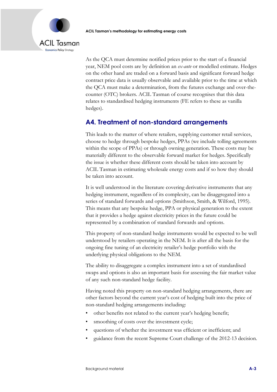

As the QCA must determine notified prices prior to the start of a financial year, NEM pool costs are by definition an *ex-ante* or modelled estimate. Hedges on the other hand are traded on a forward basis and significant forward hedge contract price data is usually observable and available prior to the time at which the QCA must make a determination, from the futures exchange and over-thecounter (OTC) brokers. ACIL Tasman of course recognises that this data relates to standardised hedging instruments (FE refers to these as vanilla hedges).

# **A4. Treatment of non-standard arrangements**

This leads to the matter of where retailers, supplying customer retail services, choose to hedge through bespoke hedges, PPAs (we include tolling agreements within the scope of PPAs) or through owning generation. These costs may be materially different to the observable forward market for hedges. Specifically the issue is whether these different costs should be taken into account by ACIL Tasman in estimating wholesale energy costs and if so how they should be taken into account.

It is well understood in the literature covering derivative instruments that any hedging instrument, regardless of its complexity, can be disaggregated into a series of standard forwards and options (Smithson, Smith, & Wilford, 1995)*.* This means that any bespoke hedge, PPA or physical generation to the extent that it provides a hedge against electricity prices in the future could be represented by a combination of standard forwards and options.

This property of non-standard hedge instruments would be expected to be well understood by retailers operating in the NEM. It is after all the basis for the ongoing fine tuning of an electricity retailer's hedge portfolio with the underlying physical obligations to the NEM.

The ability to disaggregate a complex instrument into a set of standardised swaps and options is also an important basis for assessing the fair market value of any such non-standard hedge facility.

Having noted this property on non-standard hedging arrangements, there are other factors beyond the current year's cost of hedging built into the price of non-standard hedging arrangements including:

- other benefits not related to the current year's hedging benefit;
- smoothing of costs over the investment cycle;
- questions of whether the investment was efficient or inefficient; and
- guidance from the recent Supreme Court challenge of the 2012-13 decision.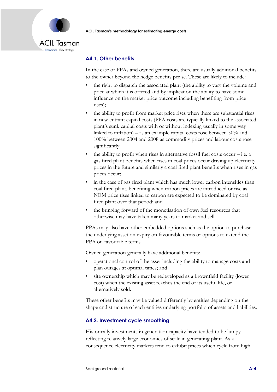

### **A4.1. Other benefits**

In the case of PPAs and owned generation, there are usually additional benefits to the owner beyond the hedge benefits per se. These are likely to include:

- the right to dispatch the associated plant (the ability to vary the volume and price at which it is offered and by implication the ability to have some influence on the market price outcome including benefiting from price rises);
- the ability to profit from market price rises when there are substantial rises in new entrant capital costs (PPA costs are typically linked to the associated plant's sunk capital costs with or without indexing usually in some way linked to inflation) – as an example capital costs rose between 50% and 100% between 2004 and 2008 as commodity prices and labour costs rose significantly;
- the ability to profit when rises in alternative fossil fuel costs occur  $-$  i.e. a gas fired plant benefits when rises in coal prices occur driving up electricity prices in the future and similarly a coal fired plant benefits when rises in gas prices occur;
- in the case of gas fired plant which has much lower carbon intensities than coal fired plant, benefiting when carbon prices are introduced or rise as NEM price rises linked to carbon are expected to be dominated by coal fired plant over that period; and
- the bringing forward of the monetisation of own fuel resources that otherwise may have taken many years to market and sell.

PPAs may also have other embedded options such as the option to purchase the underlying asset on expiry on favourable terms or options to extend the PPA on favourable terms.

Owned generation generally have additional benefits:

- operational control of the asset including the ability to manage costs and plan outages at optimal times; and
- site ownership which may be redeveloped as a brownfield facility (lower cost) when the existing asset reaches the end of its useful life, or alternatively sold.

These other benefits may be valued differently by entities depending on the shape and structure of each entities underlying portfolio of assets and liabilities.

### **A4.2. Investment cycle smoothing**

Historically investments in generation capacity have tended to be lumpy reflecting relatively large economies of scale in generating plant. As a consequence electricity markets tend to exhibit prices which cycle from high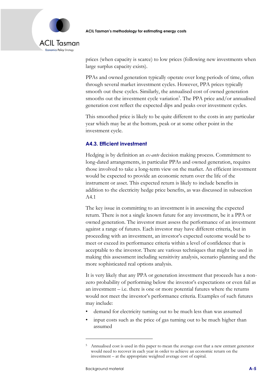

prices (when capacity is scarce) to low prices (following new investments when large surplus capacity exists).

PPAs and owned generation typically operate over long periods of time, often through several market investment cycles. However, PPA prices typically smooth out these cycles. Similarly, the annualised cost of owned generation smooths out the investment cycle variation<sup>5</sup>. The PPA price and/or annualised generation cost reflect the expected dips and peaks over investment cycles.

This smoothed price is likely to be quite different to the costs in any particular year which may be at the bottom, peak or at some other point in the investment cycle.

### **A4.3. Efficient investment**

Hedging is by definition an *ex-ante* decision making process. Commitment to long-dated arrangements, in particular PPAs and owned generation, requires those involved to take a long-term view on the market. An efficient investment would be expected to provide an economic return over the life of the instrument or asset. This expected return is likely to include benefits in addition to the electricity hedge price benefits, as was discussed in subsection A4.1

The key issue in committing to an investment is in assessing the expected return. There is not a single known future for any investment, be it a PPA or owned generation. The investor must assess the performance of an investment against a range of futures. Each investor may have different criteria, but in proceeding with an investment, an investor's expected outcome would be to meet or exceed its performance criteria within a level of confidence that is acceptable to the investor. There are various techniques that might be used in making this assessment including sensitivity analysis, scenario planning and the more sophisticated real options analysis.

It is very likely that any PPA or generation investment that proceeds has a nonzero probability of performing below the investor's expectations or even fail as an investment – i.e. there is one or more potential futures where the returns would not meet the investor's performance criteria. Examples of such futures may include:

- demand for electricity turning out to be much less than was assumed
- input costs such as the price of gas turning out to be much higher than assumed

<sup>5</sup> Annualised cost is used in this paper to mean the average cost that a new entrant generator would need to recover in each year in order to achieve an economic return on the investment – at the appropriate weighted average cost of capital.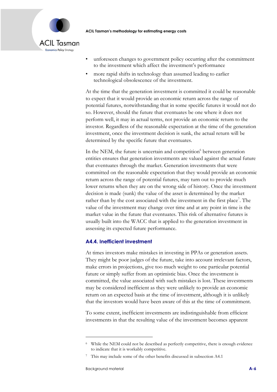

- unforeseen changes to government policy occurring after the commitment to the investment which affect the investment's performance
- more rapid shifts in technology than assumed leading to earlier technological obsolescence of the investment.

At the time that the generation investment is committed it could be reasonable to expect that it would provide an economic return across the range of potential futures, notwithstanding that in some specific futures it would not do so. However, should the future that eventuates be one where it does not perform well, it may in actual terms, not provide an economic return to the investor. Regardless of the reasonable expectation at the time of the generation investment, once the investment decision is sunk, the actual return will be determined by the specific future that eventuates.

In the NEM, the future is uncertain and competition<sup>6</sup> between generation entities ensures that generation investments are valued against the actual future that eventuates through the market. Generation investments that were committed on the reasonable expectation that they would provide an economic return across the range of potential futures, may turn out to provide much lower returns when they are on the wrong side of history. Once the investment decision is made (sunk) the value of the asset is determined by the market rather than by the cost associated with the investment in the first place<sup>7</sup>. The value of the investment may change over time and at any point in time is the market value in the future that eventuates. This risk of alternative futures is usually built into the WACC that is applied to the generation investment in assessing its expected future performance.

### **A4.4. Inefficient investment**

At times investors make mistakes in investing in PPAs or generation assets. They might be poor judges of the future, take into account irrelevant factors, make errors in projections, give too much weight to one particular potential future or simply suffer from an optimistic bias. Once the investment is committed, the value associated with such mistakes is lost. These investments may be considered inefficient as they were unlikely to provide an economic return on an expected basis at the time of investment, although it is unlikely that the investors would have been aware of this at the time of commitment.

To some extent, inefficient investments are indistinguishable from efficient investments in that the resulting value of the investment becomes apparent

<sup>6</sup> While the NEM could not be described as perfectly competitive, there is enough evidence to indicate that it is workably competitive.

<sup>&</sup>lt;sup>7</sup> This may include some of the other benefits discussed in subsection A4.1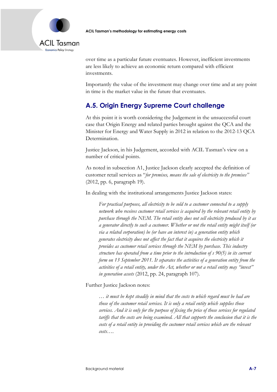

over time as a particular future eventuates. However, inefficient investments are less likely to achieve an economic return compared with efficient investments.

Importantly the value of the investment may change over time and at any point in time is the market value in the future that eventuates.

# **A.5. Origin Energy Supreme Court challenge**

At this point it is worth considering the Judgement in the unsuccessful court case that Origin Energy and related parties brought against the QCA and the Minister for Energy and Water Supply in 2012 in relation to the 2012-13 QCA Determination.

Justice Jackson, in his Judgement, accorded with ACIL Tasman's view on a number of critical points.

As noted in subsection A1, Justice Jackson clearly accepted the definition of customer retail services as "*for premises, means the sale of electricity to the premises"* (2012, pp. 6, paragraph 19).

In dealing with the institutional arrangements Justice Jackson states:

*For practical purposes, all electricity to be sold to a customer connected to a supply network who receives customer retail services is acquired by the relevant retail entity by purchase through the NEM. The retail entity does not sell electricity produced by it as a generator directly to such a customer. Whether or not the retail entity might itself (or via a related corporation) be (or have an interest in) a generation entity which generates electricity does not affect the fact that it acquires the electricity which it provides as customer retail services through the NEM by purchase. This industry structure has operated from a time prior to the introduction of s 90(5) in its current form on 13 September 2011. It separates the activities of a generation entity from the activities of a retail entity, under the Act, whether or not a retail entity may "invest" in generation assets* (2012, pp. 24, paragraph 107)*.* 

Further Justice Jackson notes:

*… it must be kept steadily in mind that the costs to which regard must be had are those of the customer retail services. It is only a retail entity which supplies those services. And it is only for the purpose of fixing the price of those services for regulated tariffs that the costs are being examined. All that supports the conclusion that it is the costs of a retail entity in providing the customer retail services which are the relevant costs….*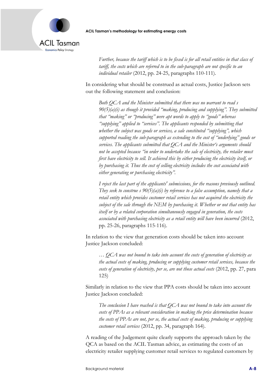

*Further, because the tariff which is to be fixed is for all retail entities in that class of tariff, the costs which are referred to in the sub-paragraph are not specific to an individual retailer* (2012, pp. 24-25, paragraphs 110-111)*.*

In considering what should be construed as actual costs, Justice Jackson sets out the following statement and conclusion:

*Both QCA and the Minister submitted that there was no warrant to read s 90(5)(a)(i) as though it provided "making, producing and supplying". They submitted that "making" or "producing" were apt words to apply to "goods" whereas "supplying" applied to "services". The applicants responded by submitting that whether the subject was goods or services, a sale constituted "supplying", which supported reading the sub-paragraph as extending to the cost of "underlying" goods or services. The applicants submitted that QCA and the Minister's arguments should not be accepted because "in order to undertake the sale of electricity, the retailer must first have electricity to sell. It achieved this by either producing the electricity itself, or by purchasing it. Thus the cost of selling electricity includes the cost associated with either generating or purchasing electricity".*

*I reject the last part of the applicants' submissions, for the reasons previously outlined. They seek to construe s 90(5)(a)(i) by reference to a false assumption, namely that a retail entity which provides customer retail services has not acquired the electricity the subject of the sale through the NEM by purchasing it. Whether or not that entity has itself or by a related corporation simultaneously engaged in generation, the costs associated with purchasing electricity as a retail entity will have been incurred* (2012, pp. 25-26, paragraphs 115-116)*.*

In relation to the view that generation costs should be taken into account Justice Jackson concluded:

*… QCA was not bound to take into account the costs of generation of electricity as the actual costs of making, producing or supplying customer retail services, because the costs of generation of electricity, per se, are not those actual costs* (2012, pp. 27, para 125)

Similarly in relation to the view that PPA costs should be taken into account Justice Jackson concluded:

*The conclusion I have reached is that QCA was not bound to take into account the costs of PPAs as a relevant consideration in making the price determination because the costs of PPAs are not, per se, the actual costs of making, producing or supplying customer retail services* (2012, pp. 34, paragraph 164)*.*

A reading of the Judgement quite clearly supports the approach taken by the QCA as based on the ACIL Tasman advice, as estimating the costs of an electricity retailer supplying customer retail services to regulated customers by